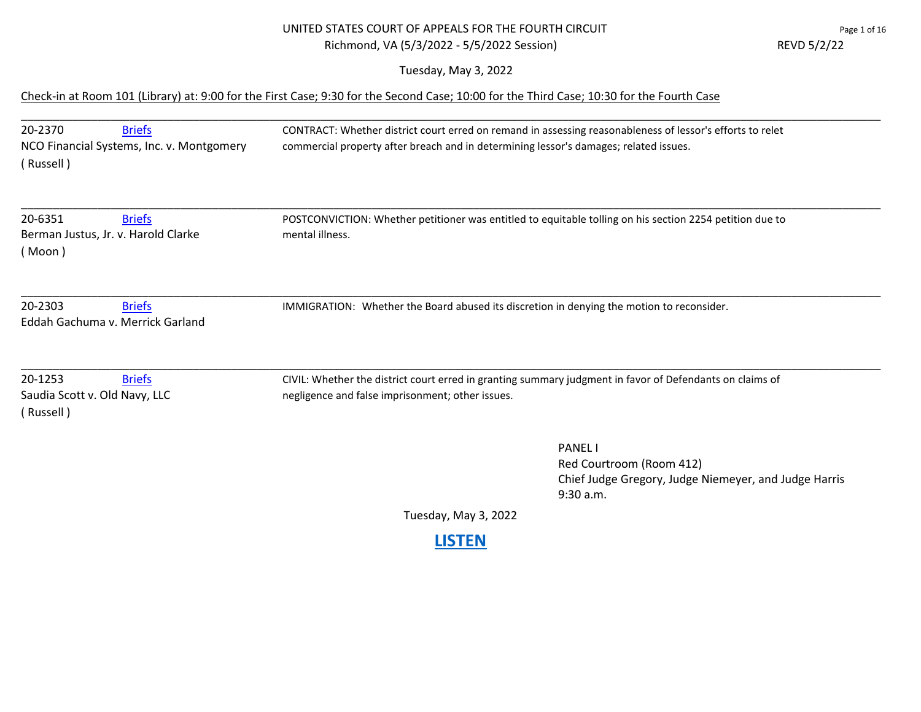## UNITED STATES COURT OF APPEALS FOR THE FOURTH CIRCUIT PAGE 1 AM Page 1 of 16 Richmond, VA (5/3/2022 - 5/5/2022 Session) REVD 5/2/22

Tuesday, May 3, 2022

## Check-in at Room 101 (Library) at: 9:00 for the First Case; 9:30 for the Second Case; 10:00 for the Third Case; 10:30 for the Fourth Case

| 20-2370<br>(Russell)                                  | <b>Briefs</b><br>NCO Financial Systems, Inc. v. Montgomery | CONTRACT: Whether district court erred on remand in assessing reasonableness of lessor's efforts to relet<br>commercial property after breach and in determining lessor's damages; related issues. |
|-------------------------------------------------------|------------------------------------------------------------|----------------------------------------------------------------------------------------------------------------------------------------------------------------------------------------------------|
| 20-6351<br>(Moon)                                     | <b>Briefs</b><br>Berman Justus, Jr. v. Harold Clarke       | POSTCONVICTION: Whether petitioner was entitled to equitable tolling on his section 2254 petition due to<br>mental illness.                                                                        |
| 20-2303                                               | <b>Briefs</b><br>Eddah Gachuma v. Merrick Garland          | IMMIGRATION: Whether the Board abused its discretion in denying the motion to reconsider.                                                                                                          |
| 20-1253<br>Saudia Scott v. Old Navy, LLC<br>(Russell) | <b>Briefs</b>                                              | CIVIL: Whether the district court erred in granting summary judgment in favor of Defendants on claims of<br>negligence and false imprisonment; other issues.                                       |
|                                                       |                                                            | <b>PANEL</b><br>Red Courtroom (Room 412)<br>Chief Judge Gregory, Judge Niemeyer, and Judge Harris<br>9:30 a.m.                                                                                     |

Tuesday, May 3, 2022

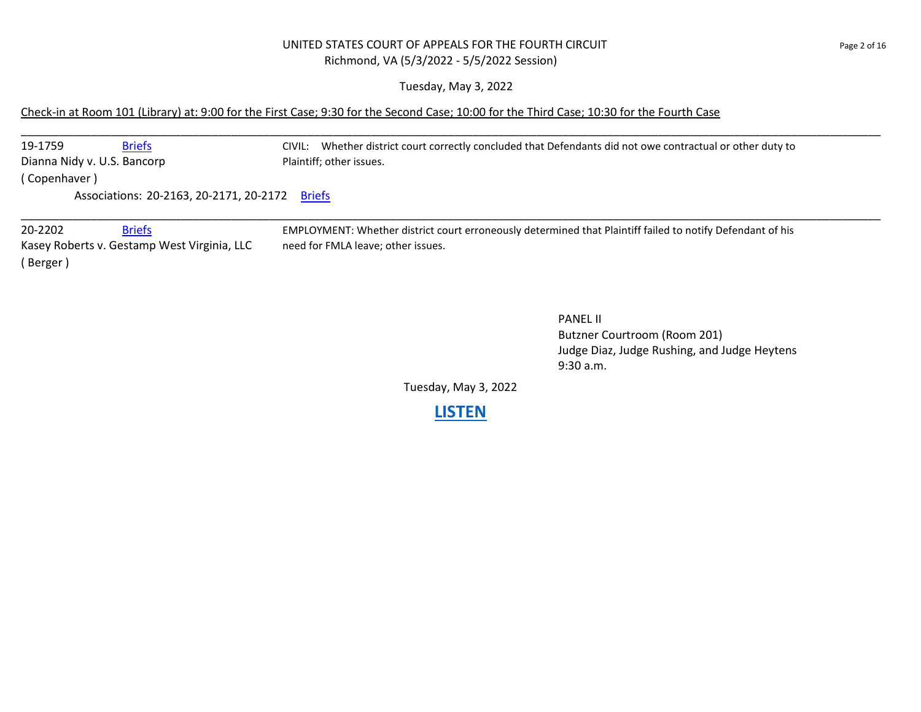#### UNITED STATES COURT OF APPEALS FOR THE FOURTH CIRCUIT **For a state of the CIRCUIT** page 2 of 16 Richmond, VA (5/3/2022 - 5/5/2022 Session)

Tuesday, May 3, 2022

#### Check-in at Room 101 (Library) at: 9:00 for the First Case; 9:30 for the Second Case; 10:00 for the Third Case; 10:30 for the Fourth Case

\_\_\_\_\_\_\_\_\_\_\_\_\_\_\_\_\_\_\_\_\_\_\_\_\_\_\_\_\_\_\_\_\_\_\_\_\_\_\_\_\_\_\_\_\_\_\_\_\_\_\_\_\_\_\_\_\_\_\_\_\_\_\_\_\_\_\_\_\_\_\_\_\_\_\_\_\_\_\_\_\_\_\_\_\_\_\_\_\_\_\_\_\_\_\_\_\_\_\_\_\_\_\_\_\_\_\_\_\_\_\_\_\_\_\_\_\_\_\_\_\_\_\_\_\_\_\_\_\_\_\_\_\_\_\_ 19-1759 [Briefs](https://www.ca4.uscourts.gov/DataBriefs.aspx?CASENUM=19-1759) Briefs CIVIL: Whether district court correctly concluded that Defendants did not owe contractual or other duty to Dianna Nidy v. U.S. Bancorp Plaintiff; other issues. ( Copenhaver ) Associations: 20-2163, 20-2171, 20-2172 [Briefs](https://www.ca4.uscourts.gov/DataBriefs.aspx?CASENUM=20-2163) \_\_\_\_\_\_\_\_\_\_\_\_\_\_\_\_\_\_\_\_\_\_\_\_\_\_\_\_\_\_\_\_\_\_\_\_\_\_\_\_\_\_\_\_\_\_\_\_\_\_\_\_\_\_\_\_\_\_\_\_\_\_\_\_\_\_\_\_\_\_\_\_\_\_\_\_\_\_\_\_\_\_\_\_\_\_\_\_\_\_\_\_\_\_\_\_\_\_\_\_\_\_\_\_\_\_\_\_\_\_\_\_\_\_\_\_\_\_\_\_\_\_\_\_\_\_\_\_\_\_\_\_\_\_\_ 20-2202 [Briefs](https://www.ca4.uscourts.gov/DataBriefs.aspx?CASENUM=20-2202) EMPLOYMENT: Whether district court erroneously determined that Plaintiff failed to notify Defendant of his

Kasey Roberts v. Gestamp West Virginia, LLC need for FMLA leave; other issues. ( Berger )

#### PANEL II

Butzner Courtroom (Room 201) Judge Diaz, Judge Rushing, and Judge Heytens 9:30 a.m.

Tuesday, May 3, 2022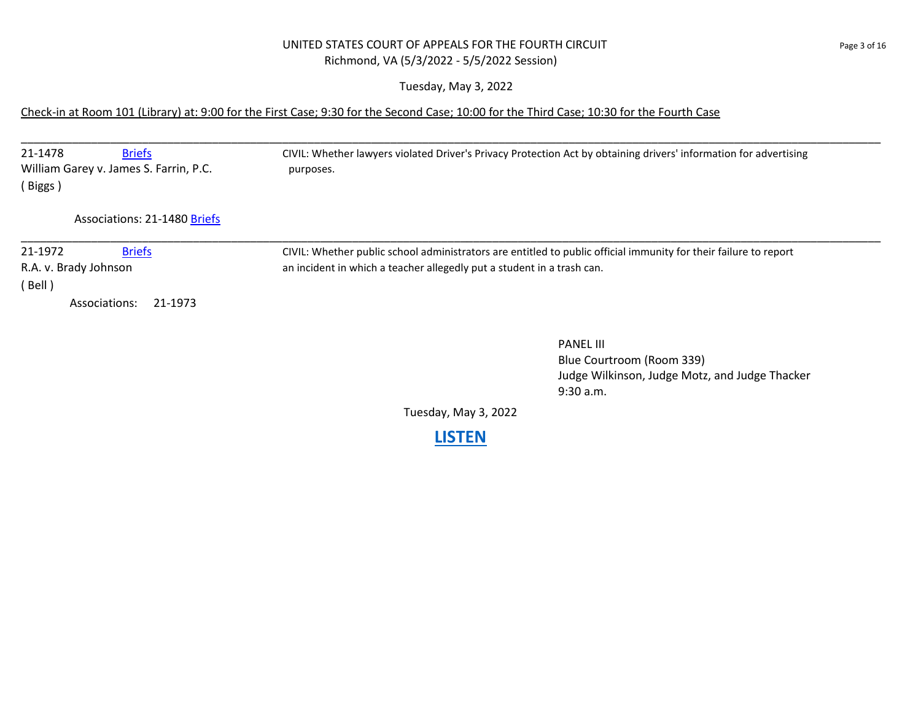### UNITED STATES COURT OF APPEALS FOR THE FOURTH CIRCUIT PAGE 2001 16 Richmond, VA (5/3/2022 - 5/5/2022 Session)

Tuesday, May 3, 2022

### Check-in at Room 101 (Library) at: 9:00 for the First Case; 9:30 for the Second Case; 10:00 for the Third Case; 10:30 for the Fourth Case

| 21-1478<br><b>Briefs</b><br>William Garey v. James S. Farrin, P.C.<br>(Biggs) | CIVIL: Whether lawyers violated Driver's Privacy Protection Act by obtaining drivers' information for advertising<br>purposes.                                                             |
|-------------------------------------------------------------------------------|--------------------------------------------------------------------------------------------------------------------------------------------------------------------------------------------|
| <b>Associations: 21-1480 Briefs</b>                                           |                                                                                                                                                                                            |
| <b>Briefs</b><br>21-1972<br>R.A. v. Brady Johnson<br>(Bell)                   | CIVIL: Whether public school administrators are entitled to public official immunity for their failure to report<br>an incident in which a teacher allegedly put a student in a trash can. |
| Associations:<br>21-1973                                                      |                                                                                                                                                                                            |
|                                                                               | <b>PANEL III</b><br>Blue Courtroom (Room 339)<br>Judge Wilkinson, Judge Motz, and Judge Thacker                                                                                            |

Tuesday, May 3, 2022

9:30 a.m.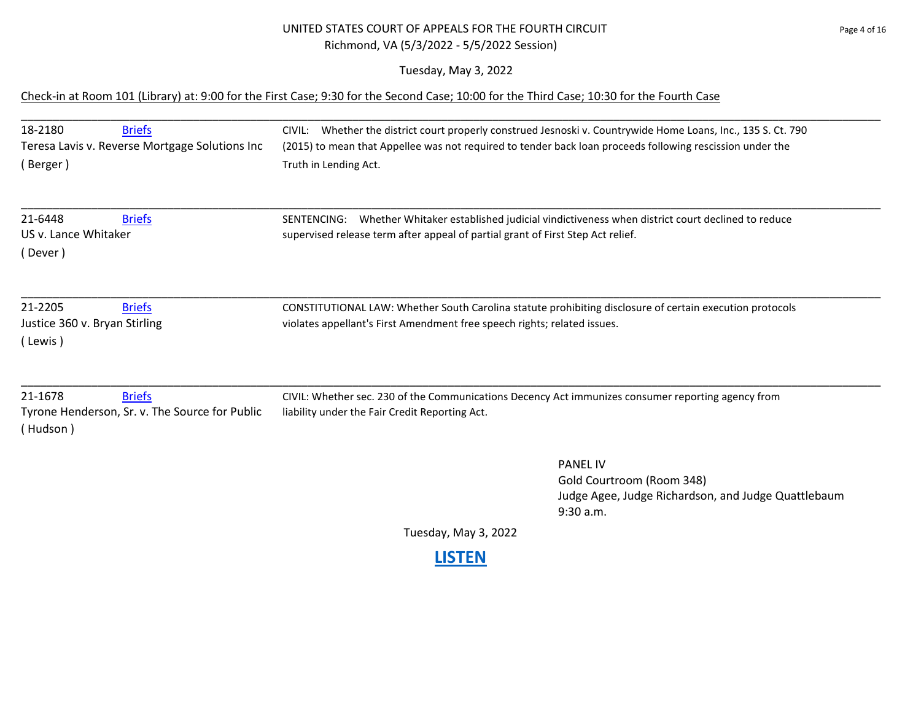## UNITED STATES COURT OF APPEALS FOR THE FOURTH CIRCUIT PAGE 15 Page 4 of 16 Richmond, VA (5/3/2022 - 5/5/2022 Session)

Tuesday, May 3, 2022

## Check-in at Room 101 (Library) at: 9:00 for the First Case; 9:30 for the Second Case; 10:00 for the Third Case; 10:30 for the Fourth Case

| 18-2180<br><b>Briefs</b><br>Teresa Lavis v. Reverse Mortgage Solutions Inc<br>(Berger) | CIVIL: Whether the district court properly construed Jesnoski v. Countrywide Home Loans, Inc., 135 S. Ct. 790<br>(2015) to mean that Appellee was not required to tender back loan proceeds following rescission under the<br>Truth in Lending Act. |
|----------------------------------------------------------------------------------------|-----------------------------------------------------------------------------------------------------------------------------------------------------------------------------------------------------------------------------------------------------|
| 21-6448<br><b>Briefs</b><br>US v. Lance Whitaker<br>(Dever)                            | Whether Whitaker established judicial vindictiveness when district court declined to reduce<br>SENTENCING:<br>supervised release term after appeal of partial grant of First Step Act relief.                                                       |
| 21-2205<br><b>Briefs</b><br>Justice 360 v. Bryan Stirling<br>(Lewis)                   | CONSTITUTIONAL LAW: Whether South Carolina statute prohibiting disclosure of certain execution protocols<br>violates appellant's First Amendment free speech rights; related issues.                                                                |
| 21-1678<br><b>Briefs</b><br>Tyrone Henderson, Sr. v. The Source for Public<br>(Hudson) | CIVIL: Whether sec. 230 of the Communications Decency Act immunizes consumer reporting agency from<br>liability under the Fair Credit Reporting Act.                                                                                                |
|                                                                                        | <b>PANEL IV</b><br>Gold Courtroom (Room 348)<br>Judge Agee, Judge Richardson, and Judge Quattlebaum<br>$9:30$ a.m.                                                                                                                                  |
|                                                                                        | Tuesday, May 3, 2022                                                                                                                                                                                                                                |
|                                                                                        |                                                                                                                                                                                                                                                     |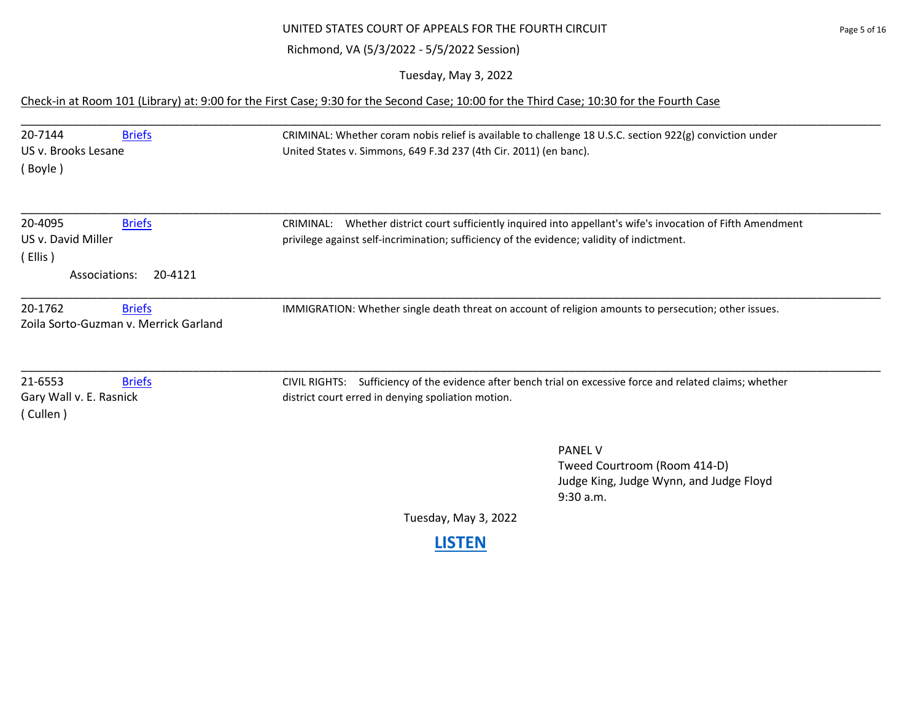## UNITED STATES COURT OF APPEALS FOR THE FOURTH CIRCUIT PAGE 15 OF 16

## Richmond, VA (5/3/2022 - 5/5/2022 Session)

Tuesday, May 3, 2022

## Check-in at Room 101 (Library) at: 9:00 for the First Case; 9:30 for the Second Case; 10:00 for the Third Case; 10:30 for the Fourth Case

| 20-7144<br><b>Briefs</b><br>US v. Brooks Lesane<br>(Boyle)                            | CRIMINAL: Whether coram nobis relief is available to challenge 18 U.S.C. section 922(g) conviction under<br>United States v. Simmons, 649 F.3d 237 (4th Cir. 2011) (en banc).                                 |
|---------------------------------------------------------------------------------------|---------------------------------------------------------------------------------------------------------------------------------------------------------------------------------------------------------------|
| 20-4095<br><b>Briefs</b><br>US v. David Miller<br>(Ellis)<br>20-4121<br>Associations: | Whether district court sufficiently inquired into appellant's wife's invocation of Fifth Amendment<br>CRIMINAL:<br>privilege against self-incrimination; sufficiency of the evidence; validity of indictment. |
| 20-1762<br><b>Briefs</b><br>Zoila Sorto-Guzman v. Merrick Garland                     | IMMIGRATION: Whether single death threat on account of religion amounts to persecution; other issues.                                                                                                         |
| 21-6553<br><b>Briefs</b><br>Gary Wall v. E. Rasnick<br>(Cullen)                       | Sufficiency of the evidence after bench trial on excessive force and related claims; whether<br><b>CIVIL RIGHTS:</b><br>district court erred in denying spoliation motion.                                    |
|                                                                                       | <b>PANEL V</b><br>Tweed Courtroom (Room 414-D)<br>Judge King, Judge Wynn, and Judge Floyd<br>9:30 a.m.                                                                                                        |

Tuesday, May 3, 2022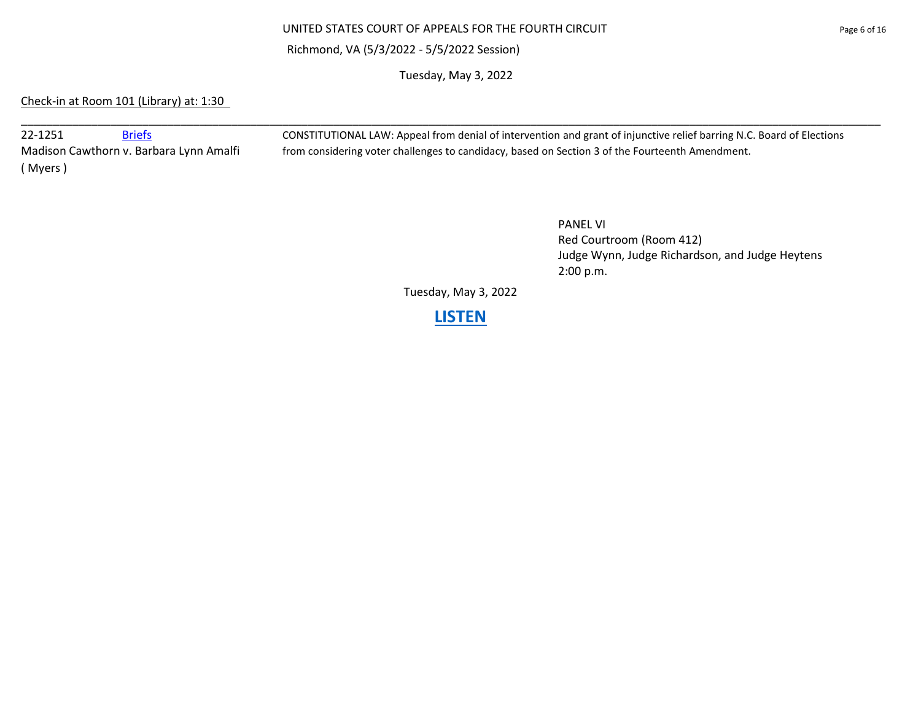#### UNITED STATES COURT OF APPEALS FOR THE FOURTH CIRCUIT **Page 6 of 16** Page 6 of 16

#### Richmond, VA (5/3/2022 - 5/5/2022 Session)

Tuesday, May 3, 2022

\_\_\_\_\_\_\_\_\_\_\_\_\_\_\_\_\_\_\_\_\_\_\_\_\_\_\_\_\_\_\_\_\_\_\_\_\_\_\_\_\_\_\_\_\_\_\_\_\_\_\_\_\_\_\_\_\_\_\_\_\_\_\_\_\_\_\_\_\_\_\_\_\_\_\_\_\_\_\_\_\_\_\_\_\_\_\_\_\_\_\_\_\_\_\_\_\_\_\_\_\_\_\_\_\_\_\_\_\_\_\_\_\_\_\_\_\_\_\_\_\_\_\_\_\_\_\_\_\_\_\_\_\_\_\_

## Check-in at Room 101 (Library) at: 1:30

( Myers )

22-1251 [Briefs](https://www.ca4.uscourts.gov/DataBriefs.aspx?CASENUM=22-1251) Briefs CONSTITUTIONAL LAW: Appeal from denial of intervention and grant of injunctive relief barring N.C. Board of Elections Madison Cawthorn v. Barbara Lynn Amalfi from considering voter challenges to candidacy, based on Section 3 of the Fourteenth Amendment.

> PANEL VI Red Courtroom (Room 412) Judge Wynn, Judge Richardson, and Judge Heytens 2:00 p.m.

Tuesday, May 3, 2022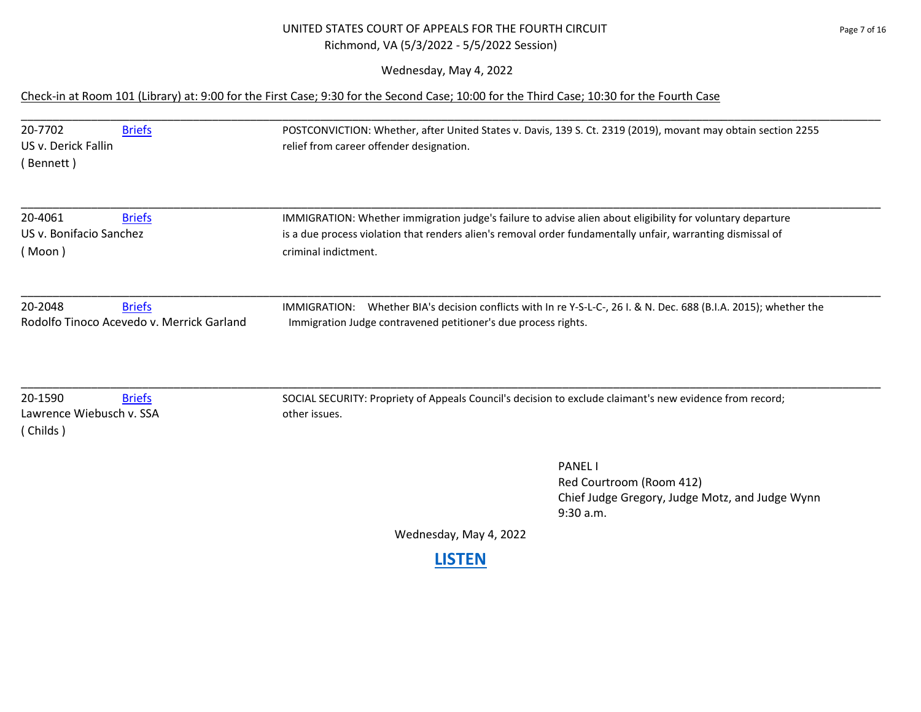### UNITED STATES COURT OF APPEALS FOR THE FOURTH CIRCUIT PAGE 2001 16 Page 7 of 16 Richmond, VA (5/3/2022 - 5/5/2022 Session)

Wednesday, May 4, 2022

## Check-in at Room 101 (Library) at: 9:00 for the First Case; 9:30 for the Second Case; 10:00 for the Third Case; 10:30 for the Fourth Case

| 20-7702<br>US v. Derick Fallin<br>(Bennett)     | <b>Briefs</b>                                              | POSTCONVICTION: Whether, after United States v. Davis, 139 S. Ct. 2319 (2019), movant may obtain section 2255<br>relief from career offender designation.                                                                                         |
|-------------------------------------------------|------------------------------------------------------------|---------------------------------------------------------------------------------------------------------------------------------------------------------------------------------------------------------------------------------------------------|
| 20-4061<br>US v. Bonifacio Sanchez<br>(Moon)    | <b>Briefs</b>                                              | IMMIGRATION: Whether immigration judge's failure to advise alien about eligibility for voluntary departure<br>is a due process violation that renders alien's removal order fundamentally unfair, warranting dismissal of<br>criminal indictment. |
| 20-2048                                         | <b>Briefs</b><br>Rodolfo Tinoco Acevedo v. Merrick Garland | Whether BIA's decision conflicts with In re Y-S-L-C-, 26 I. & N. Dec. 688 (B.I.A. 2015); whether the<br><b>IMMIGRATION:</b><br>Immigration Judge contravened petitioner's due process rights.                                                     |
| 20-1590<br>Lawrence Wiebusch v. SSA<br>(Childs) | <b>Briefs</b>                                              | SOCIAL SECURITY: Propriety of Appeals Council's decision to exclude claimant's new evidence from record;<br>other issues.                                                                                                                         |
|                                                 |                                                            | <b>PANEL I</b>                                                                                                                                                                                                                                    |

Red Courtroom (Room 412) Chief Judge Gregory, Judge Motz, and Judge Wynn 9:30 a.m.

Wednesday, May 4, 2022

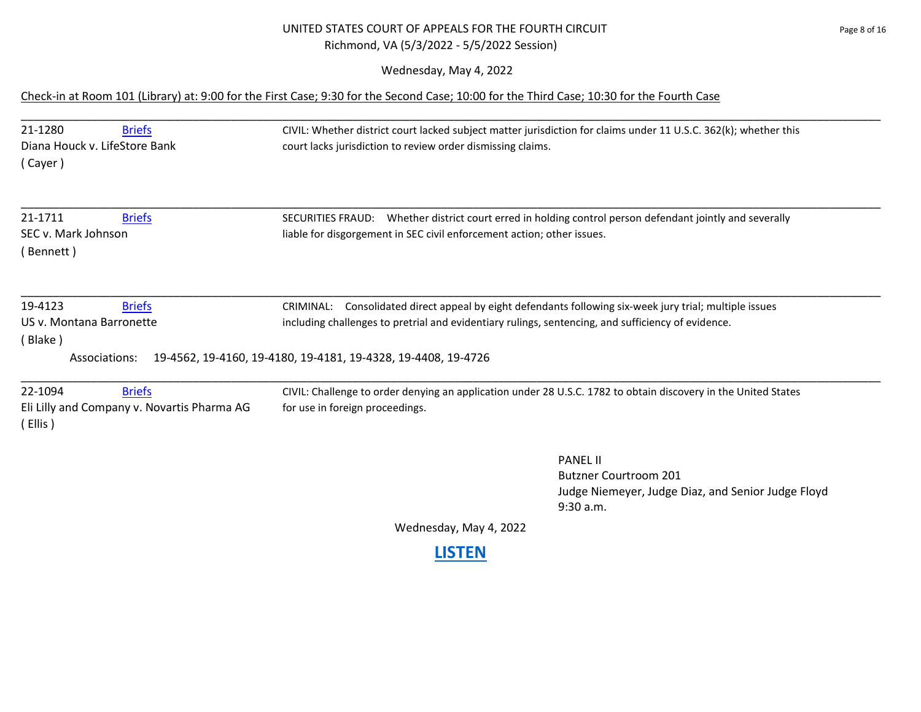## UNITED STATES COURT OF APPEALS FOR THE FOURTH CIRCUIT **FOURTH CIRCUIT** Richmond, VA (5/3/2022 - 5/5/2022 Session)

Wednesday, May 4, 2022

### Check-in at Room 101 (Library) at: 9:00 for the First Case; 9:30 for the Second Case; 10:00 for the Third Case; 10:30 for the Fourth Case

| 21-1280<br><b>Briefs</b><br>Diana Houck v. LifeStore Bank<br>(Cayer)               | CIVIL: Whether district court lacked subject matter jurisdiction for claims under 11 U.S.C. 362(k); whether this<br>court lacks jurisdiction to review order dismissing claims.                                                                                                   |
|------------------------------------------------------------------------------------|-----------------------------------------------------------------------------------------------------------------------------------------------------------------------------------------------------------------------------------------------------------------------------------|
| 21-1711<br><b>Briefs</b><br>SEC v. Mark Johnson<br>(Bennett)                       | SECURITIES FRAUD: Whether district court erred in holding control person defendant jointly and severally<br>liable for disgorgement in SEC civil enforcement action; other issues.                                                                                                |
| 19-4123<br><b>Briefs</b><br>US v. Montana Barronette<br>(Blake)<br>Associations:   | Consolidated direct appeal by eight defendants following six-week jury trial; multiple issues<br>CRIMINAL:<br>including challenges to pretrial and evidentiary rulings, sentencing, and sufficiency of evidence.<br>19-4562, 19-4160, 19-4180, 19-4181, 19-4328, 19-4408, 19-4726 |
| 22-1094<br><b>Briefs</b><br>Eli Lilly and Company v. Novartis Pharma AG<br>(Ellis) | CIVIL: Challenge to order denying an application under 28 U.S.C. 1782 to obtain discovery in the United States<br>for use in foreign proceedings.                                                                                                                                 |
|                                                                                    | <b>PANEL II</b><br><b>Butzner Courtroom 201</b><br>Judge Niemeyer, Judge Diaz, and Senior Judge Floyd<br>9:30 a.m.                                                                                                                                                                |
|                                                                                    | Wednesday, May 4, 2022                                                                                                                                                                                                                                                            |
|                                                                                    | <b>LISTEN</b>                                                                                                                                                                                                                                                                     |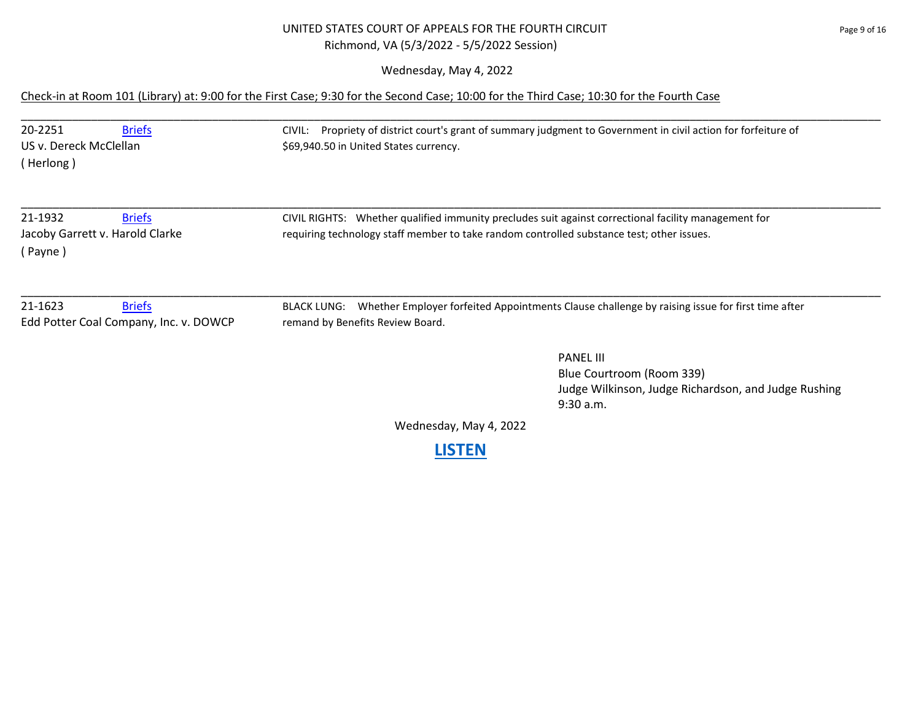## UNITED STATES COURT OF APPEALS FOR THE FOURTH CIRCUIT PAGE 2001 16 Richmond, VA (5/3/2022 - 5/5/2022 Session)

Wednesday, May 4, 2022

### Check-in at Room 101 (Library) at: 9:00 for the First Case; 9:30 for the Second Case; 10:00 for the Third Case; 10:30 for the Fourth Case

| 20-2251<br><b>Briefs</b><br>US v. Dereck McClellan<br>(Herlong)        | Propriety of district court's grant of summary judgment to Government in civil action for forfeiture of<br>CIVIL:<br>\$69,940.50 in United States currency.                                       |
|------------------------------------------------------------------------|---------------------------------------------------------------------------------------------------------------------------------------------------------------------------------------------------|
| 21-1932<br><b>Briefs</b><br>Jacoby Garrett v. Harold Clarke<br>(Payne) | CIVIL RIGHTS: Whether qualified immunity precludes suit against correctional facility management for<br>requiring technology staff member to take random controlled substance test; other issues. |
| 21-1623<br><b>Briefs</b><br>Edd Potter Coal Company, Inc. v. DOWCP     | Whether Employer forfeited Appointments Clause challenge by raising issue for first time after<br><b>BLACK LUNG:</b><br>remand by Benefits Review Board.                                          |
|                                                                        | <b>PANEL III</b><br>Blue Courtroom (Room 339)<br>Judge Wilkinson, Judge Richardson, and Judge Rushing<br>9:30 a.m.                                                                                |
|                                                                        | Wednesday, May 4, 2022                                                                                                                                                                            |
|                                                                        | <b>LISTEN</b>                                                                                                                                                                                     |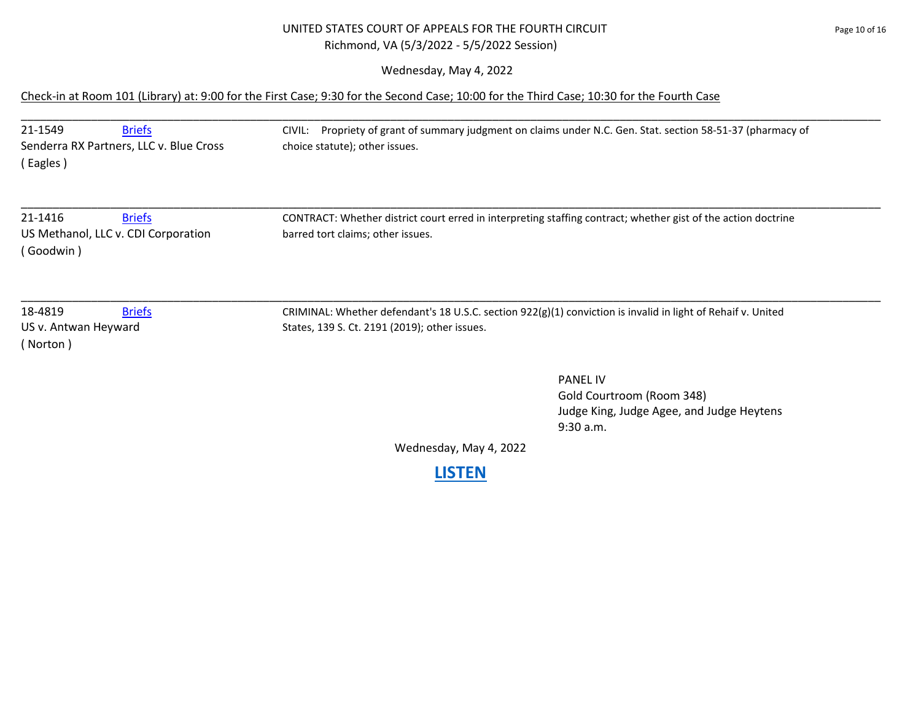### UNITED STATES COURT OF APPEALS FOR THE FOURTH CIRCUIT Page 10 of 16 Richmond, VA (5/3/2022 - 5/5/2022 Session)

Wednesday, May 4, 2022

## Check-in at Room 101 (Library) at: 9:00 for the First Case; 9:30 for the Second Case; 10:00 for the Third Case; 10:30 for the Fourth Case

| 21-1549<br><b>Briefs</b><br>Senderra RX Partners, LLC v. Blue Cross<br>(Eagles) | Propriety of grant of summary judgment on claims under N.C. Gen. Stat. section 58-51-37 (pharmacy of<br>CIVIL:<br>choice statute); other issues.              |
|---------------------------------------------------------------------------------|---------------------------------------------------------------------------------------------------------------------------------------------------------------|
| 21-1416<br><b>Briefs</b><br>US Methanol, LLC v. CDI Corporation<br>(Goodwin)    | CONTRACT: Whether district court erred in interpreting staffing contract; whether gist of the action doctrine<br>barred tort claims; other issues.            |
| 18-4819<br><b>Briefs</b><br>US v. Antwan Heyward<br>( Norton )                  | CRIMINAL: Whether defendant's 18 U.S.C. section 922(g)(1) conviction is invalid in light of Rehaif v. United<br>States, 139 S. Ct. 2191 (2019); other issues. |
|                                                                                 | <b>PANEL IV</b><br>Gold Courtroom (Room 348)                                                                                                                  |

Gold Courtroom (Room 348) Judge King, Judge Agee, and Judge Heytens 9:30 a.m.

Wednesday, May 4, 2022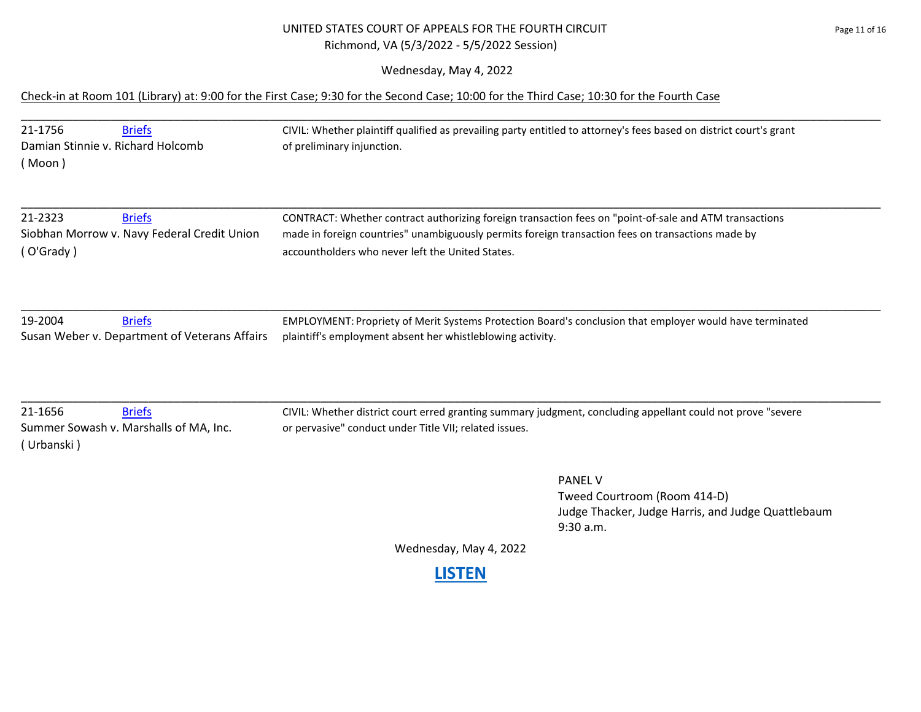#### UNITED STATES COURT OF APPEALS FOR THE FOURTH CIRCUIT **For a state of the CIRCUIT** page 11 of 16 Richmond, VA (5/3/2022 - 5/5/2022 Session)

Wednesday, May 4, 2022

#### Check-in at Room 101 (Library) at: 9:00 for the First Case; 9:30 for the Second Case; 10:00 for the Third Case; 10:30 for the Fourth Case

| 21-1756                                       | <b>Briefs</b>                               | CIVIL: Whether plaintiff qualified as prevailing party entitled to attorney's fees based on district court's grant |  |
|-----------------------------------------------|---------------------------------------------|--------------------------------------------------------------------------------------------------------------------|--|
| Damian Stinnie v. Richard Holcomb             |                                             | of preliminary injunction.                                                                                         |  |
| ( Moon )                                      |                                             |                                                                                                                    |  |
| 21-2323                                       | <b>Briefs</b>                               | CONTRACT: Whether contract authorizing foreign transaction fees on "point-of-sale and ATM transactions             |  |
|                                               | Siobhan Morrow v. Navy Federal Credit Union | made in foreign countries" unambiguously permits foreign transaction fees on transactions made by                  |  |
| (O'Grady)                                     |                                             | accountholders who never left the United States.                                                                   |  |
|                                               |                                             |                                                                                                                    |  |
| 19-2004                                       | <b>Briefs</b>                               | EMPLOYMENT: Propriety of Merit Systems Protection Board's conclusion that employer would have terminated           |  |
| Susan Weber v. Department of Veterans Affairs |                                             | plaintiff's employment absent her whistleblowing activity.                                                         |  |

\_\_\_\_\_\_\_\_\_\_\_\_\_\_\_\_\_\_\_\_\_\_\_\_\_\_\_\_\_\_\_\_\_\_\_\_\_\_\_\_\_\_\_\_\_\_\_\_\_\_\_\_\_\_\_\_\_\_\_\_\_\_\_\_\_\_\_\_\_\_\_\_\_\_\_\_\_\_\_\_\_\_\_\_\_\_\_\_\_\_\_\_\_\_\_\_\_\_\_\_\_\_\_\_\_\_\_\_\_\_\_\_\_\_\_\_\_\_\_\_\_\_\_\_\_\_\_\_\_\_\_\_\_\_\_

( Urbanski )

21-1656 [Briefs](https://www.ca4.uscourts.gov/DataBriefs.aspx?CASENUM=21-1656) CIVIL: Whether district court erred granting summary judgment, concluding appellant could not prove "severe Summer Sowash v. Marshalls of MA, Inc. or pervasive" conduct under Title VII; related issues.

> PANEL V Tweed Courtroom (Room 414-D) Judge Thacker, Judge Harris, and Judge Quattlebaum 9:30 a.m.

Wednesday, May 4, 2022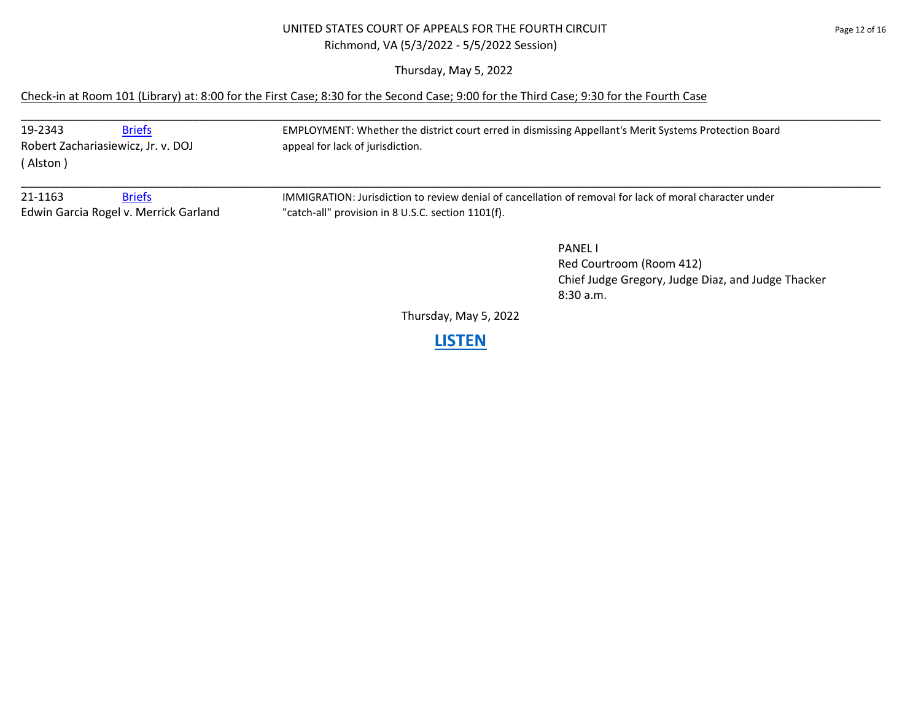### UNITED STATES COURT OF APPEALS FOR THE FOURTH CIRCUIT Page 12 of 16 Richmond, VA (5/3/2022 - 5/5/2022 Session)

Thursday, May 5, 2022

## Check-in at Room 101 (Library) at: 8:00 for the First Case; 8:30 for the Second Case; 9:00 for the Third Case; 9:30 for the Fourth Case

| 19-2343                               | <b>Briefs</b><br>Robert Zachariasiewicz, Jr. v. DOJ | EMPLOYMENT: Whether the district court erred in dismissing Appellant's Merit Systems Protection Board<br>appeal for lack of jurisdiction. |
|---------------------------------------|-----------------------------------------------------|-------------------------------------------------------------------------------------------------------------------------------------------|
| (Alston)                              |                                                     |                                                                                                                                           |
| 21-1163                               | <b>Briefs</b>                                       | IMMIGRATION: Jurisdiction to review denial of cancellation of removal for lack of moral character under                                   |
| Edwin Garcia Rogel v. Merrick Garland |                                                     | "catch-all" provision in 8 U.S.C. section 1101(f).                                                                                        |

PANEL I Red Courtroom (Room 412) Chief Judge Gregory, Judge Diaz, and Judge Thacker 8:30 a.m.

Thursday, May 5, 2022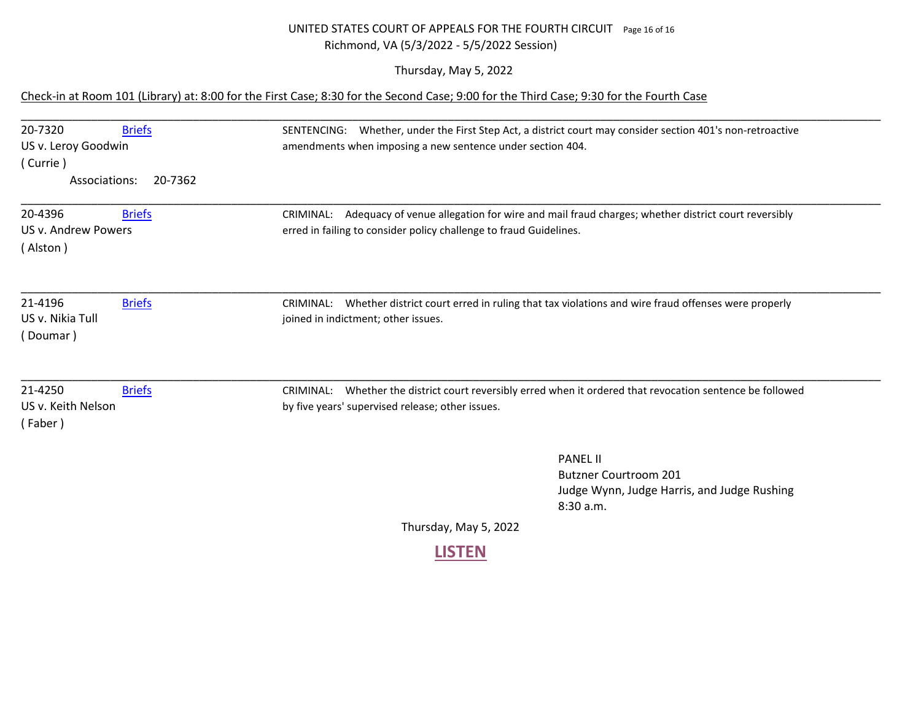## UNITED STATES COURT OF APPEALS FOR THE FOURTH CIRCUIT Page 16 of 16 Richmond, VA (5/3/2022 - 5/5/2022 Session)

Thursday, May 5, 2022

### Check-in at Room 101 (Library) at: 8:00 for the First Case; 8:30 for the Second Case; 9:00 for the Third Case; 9:30 for the Fourth Case

| 20-7320<br><b>Briefs</b>                     | SENTENCING: Whether, under the First Step Act, a district court may consider section 401's non-retroactive    |
|----------------------------------------------|---------------------------------------------------------------------------------------------------------------|
| US v. Leroy Goodwin                          | amendments when imposing a new sentence under section 404.                                                    |
| (Currie)                                     |                                                                                                               |
| Associations:<br>20-7362                     |                                                                                                               |
| 20-4396<br><b>Briefs</b>                     | Adequacy of venue allegation for wire and mail fraud charges; whether district court reversibly<br>CRIMINAL:  |
| US v. Andrew Powers                          | erred in failing to consider policy challenge to fraud Guidelines.                                            |
| (Alston)                                     |                                                                                                               |
| 21-4196<br><b>Briefs</b><br>US v. Nikia Tull | Whether district court erred in ruling that tax violations and wire fraud offenses were properly<br>CRIMINAL: |
| (Doumar)                                     | joined in indictment; other issues.                                                                           |
| 21-4250<br><b>Briefs</b>                     | Whether the district court reversibly erred when it ordered that revocation sentence be followed<br>CRIMINAL: |
| US v. Keith Nelson<br>(Faber)                | by five years' supervised release; other issues.                                                              |
|                                              | <b>PANEL II</b>                                                                                               |
|                                              | <b>Butzner Courtroom 201</b>                                                                                  |
|                                              | Judge Wynn, Judge Harris, and Judge Rushing                                                                   |
|                                              | 8:30a.m.                                                                                                      |
|                                              | $Thurcdou$ $MouE$ $2022$                                                                                      |

Thursday, May 5, 2022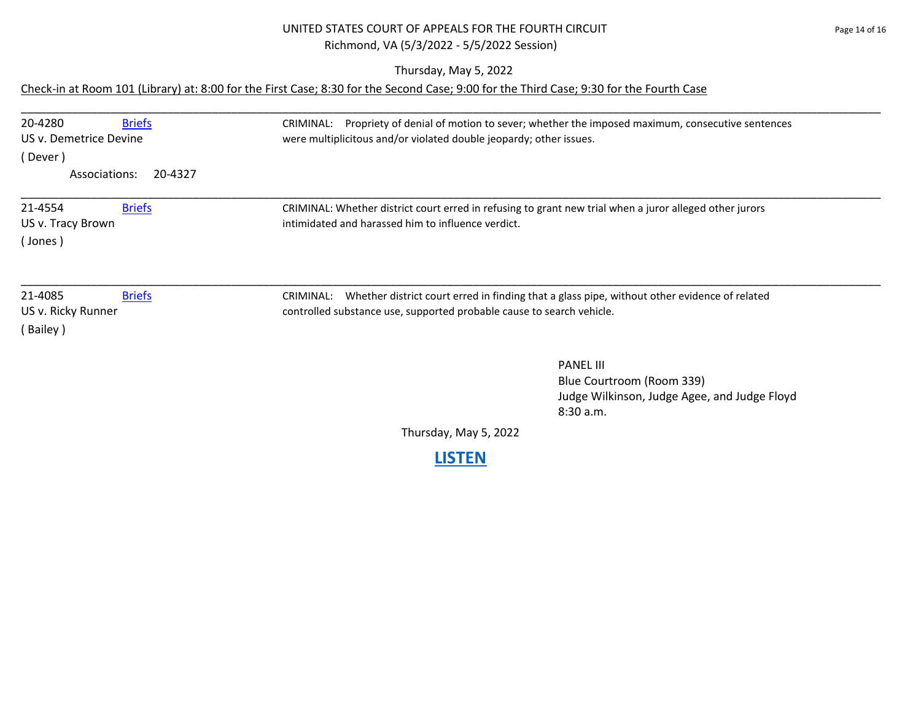## UNITED STATES COURT OF APPEALS FOR THE FOURTH CIRCUIT **FOUR THE STATES** Page 14 of 16 Richmond, VA (5/3/2022 - 5/5/2022 Session)

Thursday, May 5, 2022

# Check-in at Room 101 (Library) at: 8:00 for the First Case; 8:30 for the Second Case; 9:00 for the Third Case; 9:30 for the Fourth Case

| 20-4280<br><b>Briefs</b>                                   | Propriety of denial of motion to sever; whether the imposed maximum, consecutive sentences<br>CRIMINAL:                                                                         |
|------------------------------------------------------------|---------------------------------------------------------------------------------------------------------------------------------------------------------------------------------|
| US v. Demetrice Devine                                     | were multiplicitous and/or violated double jeopardy; other issues.                                                                                                              |
| (Dever)                                                    |                                                                                                                                                                                 |
| Associations:<br>20-4327                                   |                                                                                                                                                                                 |
| 21-4554<br><b>Briefs</b>                                   | CRIMINAL: Whether district court erred in refusing to grant new trial when a juror alleged other jurors                                                                         |
| US v. Tracy Brown<br>(Jones)                               | intimidated and harassed him to influence verdict.                                                                                                                              |
| 21-4085<br><b>Briefs</b><br>US v. Ricky Runner<br>(Bailey) | CRIMINAL: Whether district court erred in finding that a glass pipe, without other evidence of related<br>controlled substance use, supported probable cause to search vehicle. |
|                                                            | <b>PANEL III</b><br>Blue Courtroom (Room 339)<br>Judge Wilkinson, Judge Agee, and Judge Floyd<br>8:30 a.m.                                                                      |
|                                                            | Thursday, May 5, 2022                                                                                                                                                           |
|                                                            | <b>ISTEN</b>                                                                                                                                                                    |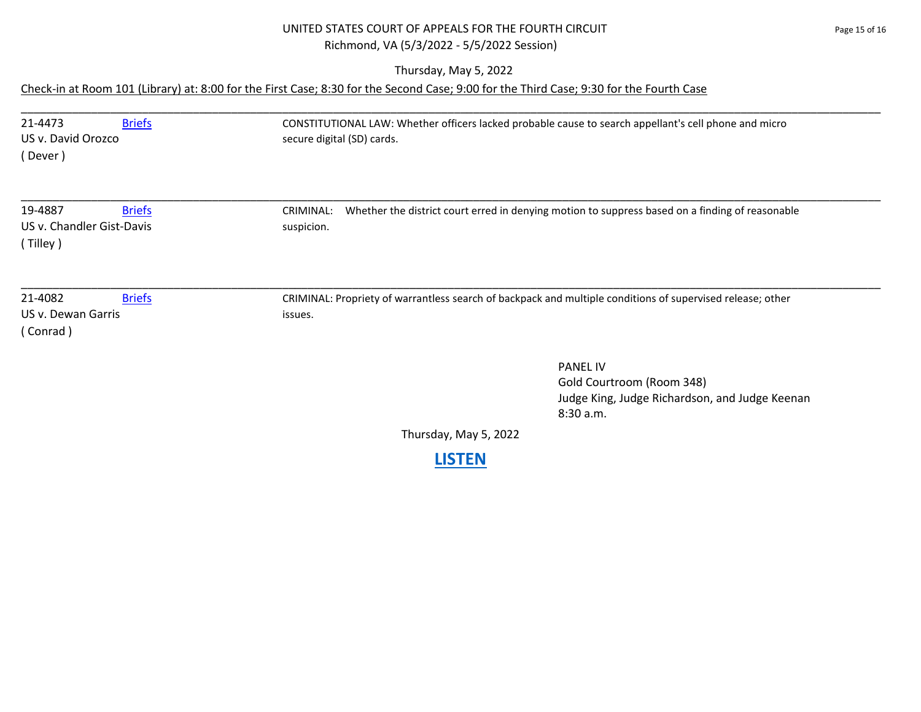## UNITED STATES COURT OF APPEALS FOR THE FOURTH CIRCUIT Page 15 of 16 Richmond, VA (5/3/2022 - 5/5/2022 Session)

Thursday, May 5, 2022

# Check-in at Room 101 (Library) at: 8:00 for the First Case; 8:30 for the Second Case; 9:00 for the Third Case; 9:30 for the Fourth Case

| 21-4473<br><b>Briefs</b><br>US v. David Orozco<br>(Dever )        | CONSTITUTIONAL LAW: Whether officers lacked probable cause to search appellant's cell phone and micro<br>secure digital (SD) cards. |
|-------------------------------------------------------------------|-------------------------------------------------------------------------------------------------------------------------------------|
| 19-4887<br><b>Briefs</b><br>US v. Chandler Gist-Davis<br>(Tilley) | Whether the district court erred in denying motion to suppress based on a finding of reasonable<br>CRIMINAL:<br>suspicion.          |
| 21-4082<br><b>Briefs</b><br>US v. Dewan Garris<br>(Conrad)        | CRIMINAL: Propriety of warrantless search of backpack and multiple conditions of supervised release; other<br>issues.               |
|                                                                   | <b>PANEL IV</b><br>Gold Courtroom (Room 348)<br>Judge King, Judge Richardson, and Judge Keenan<br>8:30 a.m.                         |
|                                                                   | Thursday, May 5, 2022                                                                                                               |
|                                                                   | <b>LISTEN</b>                                                                                                                       |